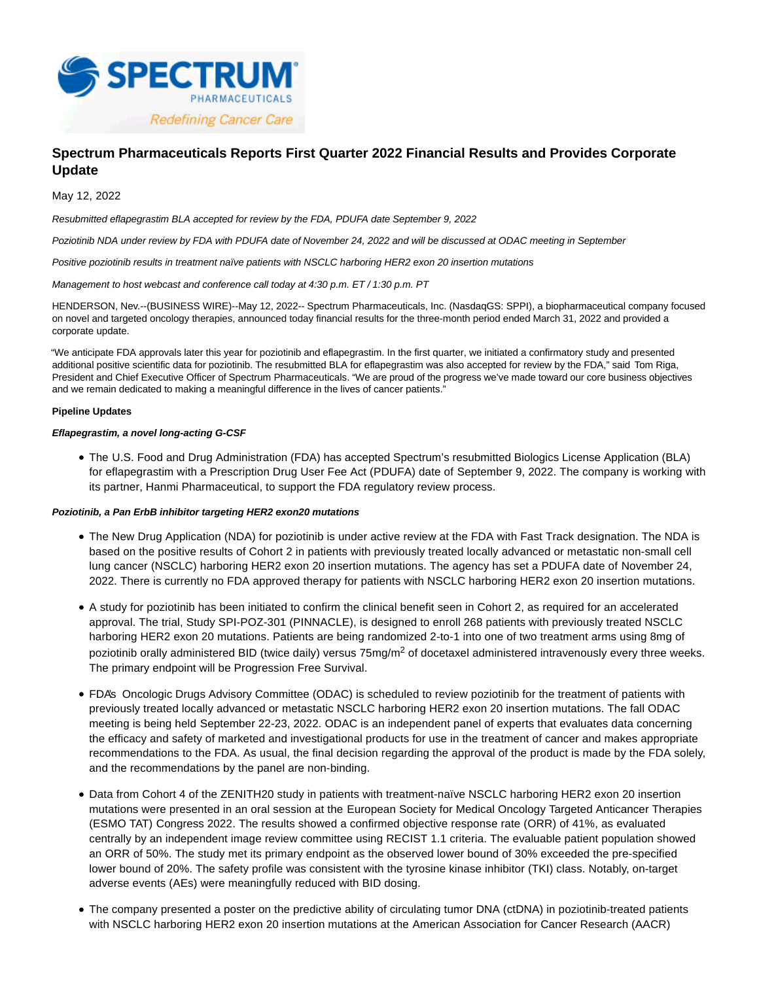

# **Spectrum Pharmaceuticals Reports First Quarter 2022 Financial Results and Provides Corporate Update**

May 12, 2022

Resubmitted eflapegrastim BLA accepted for review by the FDA, PDUFA date September 9, 2022

Poziotinib NDA under review by FDA with PDUFA date of November 24, 2022 and will be discussed at ODAC meeting in September

Positive poziotinib results in treatment naïve patients with NSCLC harboring HER2 exon 20 insertion mutations

Management to host webcast and conference call today at 4:30 p.m. ET / 1:30 p.m. PT

HENDERSON, Nev.--(BUSINESS WIRE)--May 12, 2022-- Spectrum Pharmaceuticals, Inc. (NasdaqGS: SPPI), a biopharmaceutical company focused on novel and targeted oncology therapies, announced today financial results for the three-month period ended March 31, 2022 and provided a corporate update.

"We anticipate FDA approvals later this year for poziotinib and eflapegrastim. In the first quarter, we initiated a confirmatory study and presented additional positive scientific data for poziotinib. The resubmitted BLA for eflapegrastim was also accepted for review by the FDA," said Tom Riga, President and Chief Executive Officer of Spectrum Pharmaceuticals. "We are proud of the progress we've made toward our core business objectives and we remain dedicated to making a meaningful difference in the lives of cancer patients."

## **Pipeline Updates**

## **Eflapegrastim, a novel long-acting G-CSF**

The U.S. Food and Drug Administration (FDA) has accepted Spectrum's resubmitted Biologics License Application (BLA) for eflapegrastim with a Prescription Drug User Fee Act (PDUFA) date of September 9, 2022. The company is working with its partner, Hanmi Pharmaceutical, to support the FDA regulatory review process.

# **Poziotinib, a Pan ErbB inhibitor targeting HER2 exon20 mutations**

- The New Drug Application (NDA) for poziotinib is under active review at the FDA with Fast Track designation. The NDA is based on the positive results of Cohort 2 in patients with previously treated locally advanced or metastatic non-small cell lung cancer (NSCLC) harboring HER2 exon 20 insertion mutations. The agency has set a PDUFA date of November 24, 2022. There is currently no FDA approved therapy for patients with NSCLC harboring HER2 exon 20 insertion mutations.
- A study for poziotinib has been initiated to confirm the clinical benefit seen in Cohort 2, as required for an accelerated approval. The trial, Study SPI-POZ-301 (PINNACLE), is designed to enroll 268 patients with previously treated NSCLC harboring HER2 exon 20 mutations. Patients are being randomized 2-to-1 into one of two treatment arms using 8mg of poziotinib orally administered BID (twice daily) versus 75mg/m<sup>2</sup> of docetaxel administered intravenously every three weeks. The primary endpoint will be Progression Free Survival.
- FDA's Oncologic Drugs Advisory Committee (ODAC) is scheduled to review poziotinib for the treatment of patients with previously treated locally advanced or metastatic NSCLC harboring HER2 exon 20 insertion mutations. The fall ODAC meeting is being held September 22-23, 2022. ODAC is an independent panel of experts that evaluates data concerning the efficacy and safety of marketed and investigational products for use in the treatment of cancer and makes appropriate recommendations to the FDA. As usual, the final decision regarding the approval of the product is made by the FDA solely, and the recommendations by the panel are non-binding.
- Data from Cohort 4 of the ZENITH20 study in patients with treatment-naïve NSCLC harboring HER2 exon 20 insertion mutations were presented in an oral session at the European Society for Medical Oncology Targeted Anticancer Therapies (ESMO TAT) Congress 2022. The results showed a confirmed objective response rate (ORR) of 41%, as evaluated centrally by an independent image review committee using RECIST 1.1 criteria. The evaluable patient population showed an ORR of 50%. The study met its primary endpoint as the observed lower bound of 30% exceeded the pre-specified lower bound of 20%. The safety profile was consistent with the tyrosine kinase inhibitor (TKI) class. Notably, on-target adverse events (AEs) were meaningfully reduced with BID dosing.
- The company presented a poster on the predictive ability of circulating tumor DNA (ctDNA) in poziotinib-treated patients with NSCLC harboring HER2 exon 20 insertion mutations at the American Association for Cancer Research (AACR)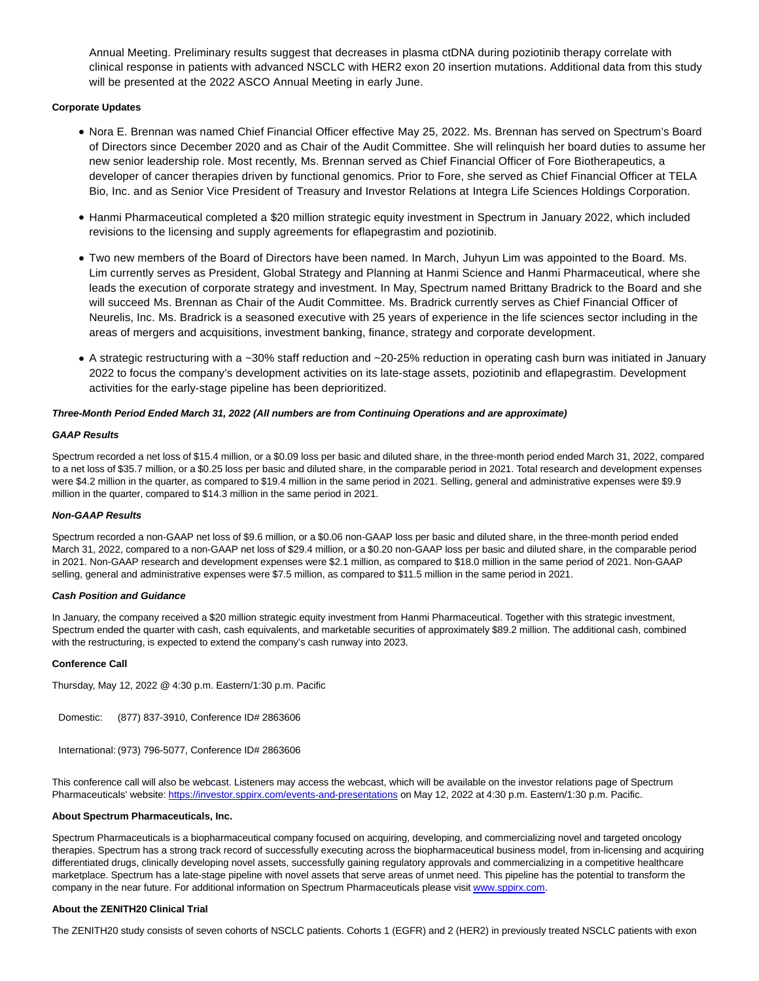Annual Meeting. Preliminary results suggest that decreases in plasma ctDNA during poziotinib therapy correlate with clinical response in patients with advanced NSCLC with HER2 exon 20 insertion mutations. Additional data from this study will be presented at the 2022 ASCO Annual Meeting in early June.

## **Corporate Updates**

- Nora E. Brennan was named Chief Financial Officer effective May 25, 2022. Ms. Brennan has served on Spectrum's Board of Directors since December 2020 and as Chair of the Audit Committee. She will relinquish her board duties to assume her new senior leadership role. Most recently, Ms. Brennan served as Chief Financial Officer of Fore Biotherapeutics, a developer of cancer therapies driven by functional genomics. Prior to Fore, she served as Chief Financial Officer at TELA Bio, Inc. and as Senior Vice President of Treasury and Investor Relations at Integra Life Sciences Holdings Corporation.
- Hanmi Pharmaceutical completed a \$20 million strategic equity investment in Spectrum in January 2022, which included revisions to the licensing and supply agreements for eflapegrastim and poziotinib.
- Two new members of the Board of Directors have been named. In March, Juhyun Lim was appointed to the Board. Ms. Lim currently serves as President, Global Strategy and Planning at Hanmi Science and Hanmi Pharmaceutical, where she leads the execution of corporate strategy and investment. In May, Spectrum named Brittany Bradrick to the Board and she will succeed Ms. Brennan as Chair of the Audit Committee. Ms. Bradrick currently serves as Chief Financial Officer of Neurelis, Inc. Ms. Bradrick is a seasoned executive with 25 years of experience in the life sciences sector including in the areas of mergers and acquisitions, investment banking, finance, strategy and corporate development.
- A strategic restructuring with a ~30% staff reduction and ~20-25% reduction in operating cash burn was initiated in January 2022 to focus the company's development activities on its late-stage assets, poziotinib and eflapegrastim. Development activities for the early-stage pipeline has been deprioritized.

## **Three-Month Period Ended March 31, 2022 (All numbers are from Continuing Operations and are approximate)**

## **GAAP Results**

Spectrum recorded a net loss of \$15.4 million, or a \$0.09 loss per basic and diluted share, in the three-month period ended March 31, 2022, compared to a net loss of \$35.7 million, or a \$0.25 loss per basic and diluted share, in the comparable period in 2021. Total research and development expenses were \$4.2 million in the quarter, as compared to \$19.4 million in the same period in 2021. Selling, general and administrative expenses were \$9.9 million in the quarter, compared to \$14.3 million in the same period in 2021.

## **Non-GAAP Results**

Spectrum recorded a non-GAAP net loss of \$9.6 million, or a \$0.06 non-GAAP loss per basic and diluted share, in the three-month period ended March 31, 2022, compared to a non-GAAP net loss of \$29.4 million, or a \$0.20 non-GAAP loss per basic and diluted share, in the comparable period in 2021. Non-GAAP research and development expenses were \$2.1 million, as compared to \$18.0 million in the same period of 2021. Non-GAAP selling, general and administrative expenses were \$7.5 million, as compared to \$11.5 million in the same period in 2021.

#### **Cash Position and Guidance**

In January, the company received a \$20 million strategic equity investment from Hanmi Pharmaceutical. Together with this strategic investment, Spectrum ended the quarter with cash, cash equivalents, and marketable securities of approximately \$89.2 million. The additional cash, combined with the restructuring, is expected to extend the company's cash runway into 2023.

## **Conference Call**

Thursday, May 12, 2022 @ 4:30 p.m. Eastern/1:30 p.m. Pacific

Domestic: (877) 837-3910, Conference ID# 2863606

```
International: (973) 796-5077, Conference ID# 2863606
```
This conference call will also be webcast. Listeners may access the webcast, which will be available on the investor relations page of Spectrum Pharmaceuticals' website[: https://investor.sppirx.com/events-and-presentations o](https://cts.businesswire.com/ct/CT?id=smartlink&url=https%3A%2F%2Finvestor.sppirx.com%2Fevents-and-presentations&esheet=52717779&newsitemid=20220512005915&lan=en-US&anchor=https%3A%2F%2Finvestor.sppirx.com%2Fevents-and-presentations&index=1&md5=f388b0d5b8517eedd3f4c15cd506f86e)n May 12, 2022 at 4:30 p.m. Eastern/1:30 p.m. Pacific.

#### **About Spectrum Pharmaceuticals, Inc.**

Spectrum Pharmaceuticals is a biopharmaceutical company focused on acquiring, developing, and commercializing novel and targeted oncology therapies. Spectrum has a strong track record of successfully executing across the biopharmaceutical business model, from in-licensing and acquiring differentiated drugs, clinically developing novel assets, successfully gaining regulatory approvals and commercializing in a competitive healthcare marketplace. Spectrum has a late-stage pipeline with novel assets that serve areas of unmet need. This pipeline has the potential to transform the company in the near future. For additional information on Spectrum Pharmaceuticals please visit [www.sppirx.com.](https://cts.businesswire.com/ct/CT?id=smartlink&url=http%3A%2F%2Fwww.sppirx.com&esheet=52717779&newsitemid=20220512005915&lan=en-US&anchor=www.sppirx.com&index=2&md5=1fb40f7b54b7c21a4b35d4840c359c49)

## **About the ZENITH20 Clinical Trial**

The ZENITH20 study consists of seven cohorts of NSCLC patients. Cohorts 1 (EGFR) and 2 (HER2) in previously treated NSCLC patients with exon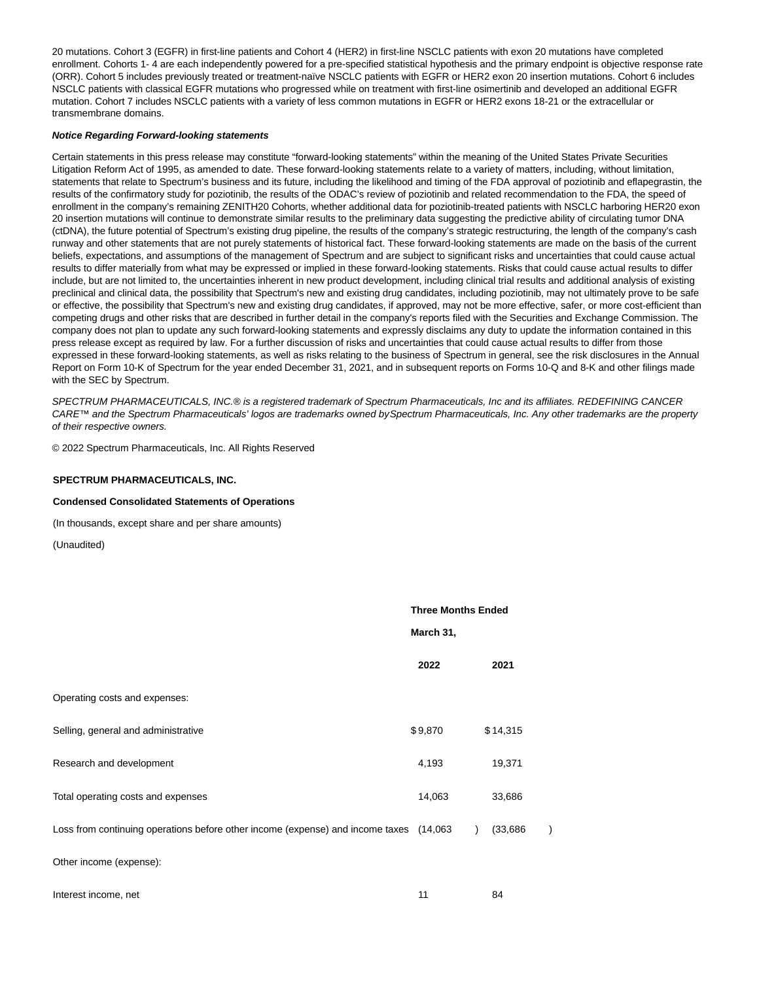20 mutations. Cohort 3 (EGFR) in first-line patients and Cohort 4 (HER2) in first-line NSCLC patients with exon 20 mutations have completed enrollment. Cohorts 1- 4 are each independently powered for a pre-specified statistical hypothesis and the primary endpoint is objective response rate (ORR). Cohort 5 includes previously treated or treatment-naïve NSCLC patients with EGFR or HER2 exon 20 insertion mutations. Cohort 6 includes NSCLC patients with classical EGFR mutations who progressed while on treatment with first-line osimertinib and developed an additional EGFR mutation. Cohort 7 includes NSCLC patients with a variety of less common mutations in EGFR or HER2 exons 18-21 or the extracellular or transmembrane domains.

# **Notice Regarding Forward-looking statements**

Certain statements in this press release may constitute "forward-looking statements" within the meaning of the United States Private Securities Litigation Reform Act of 1995, as amended to date. These forward-looking statements relate to a variety of matters, including, without limitation, statements that relate to Spectrum's business and its future, including the likelihood and timing of the FDA approval of poziotinib and eflapegrastin, the results of the confirmatory study for poziotinib, the results of the ODAC's review of poziotinib and related recommendation to the FDA, the speed of enrollment in the company's remaining ZENITH20 Cohorts, whether additional data for poziotinib-treated patients with NSCLC harboring HER20 exon 20 insertion mutations will continue to demonstrate similar results to the preliminary data suggesting the predictive ability of circulating tumor DNA (ctDNA), the future potential of Spectrum's existing drug pipeline, the results of the company's strategic restructuring, the length of the company's cash runway and other statements that are not purely statements of historical fact. These forward-looking statements are made on the basis of the current beliefs, expectations, and assumptions of the management of Spectrum and are subject to significant risks and uncertainties that could cause actual results to differ materially from what may be expressed or implied in these forward-looking statements. Risks that could cause actual results to differ include, but are not limited to, the uncertainties inherent in new product development, including clinical trial results and additional analysis of existing preclinical and clinical data, the possibility that Spectrum's new and existing drug candidates, including poziotinib, may not ultimately prove to be safe or effective, the possibility that Spectrum's new and existing drug candidates, if approved, may not be more effective, safer, or more cost-efficient than competing drugs and other risks that are described in further detail in the company's reports filed with the Securities and Exchange Commission. The company does not plan to update any such forward-looking statements and expressly disclaims any duty to update the information contained in this press release except as required by law. For a further discussion of risks and uncertainties that could cause actual results to differ from those expressed in these forward-looking statements, as well as risks relating to the business of Spectrum in general, see the risk disclosures in the Annual Report on Form 10-K of Spectrum for the year ended December 31, 2021, and in subsequent reports on Forms 10-Q and 8-K and other filings made with the SEC by Spectrum.

SPECTRUM PHARMACEUTICALS, INC.® is a registered trademark of Spectrum Pharmaceuticals, Inc and its affiliates. REDEFINING CANCER CARE™ and the Spectrum Pharmaceuticals' logos are trademarks owned by Spectrum Pharmaceuticals, Inc. Any other trademarks are the property of their respective owners.

© 2022 Spectrum Pharmaceuticals, Inc. All Rights Reserved

#### **SPECTRUM PHARMACEUTICALS, INC.**

#### **Condensed Consolidated Statements of Operations**

(In thousands, except share and per share amounts)

(Unaudited)

|                                                                                        | <b>Three Months Ended</b> |          |  |  |
|----------------------------------------------------------------------------------------|---------------------------|----------|--|--|
|                                                                                        | March 31,                 |          |  |  |
|                                                                                        | 2022                      | 2021     |  |  |
| Operating costs and expenses:                                                          |                           |          |  |  |
| Selling, general and administrative                                                    | \$9,870                   | \$14,315 |  |  |
| Research and development                                                               | 4,193                     | 19,371   |  |  |
| Total operating costs and expenses                                                     | 14,063                    | 33,686   |  |  |
| Loss from continuing operations before other income (expense) and income taxes (14,063 |                           | (33,686) |  |  |
| Other income (expense):                                                                |                           |          |  |  |
| Interest income, net                                                                   | 11                        | 84       |  |  |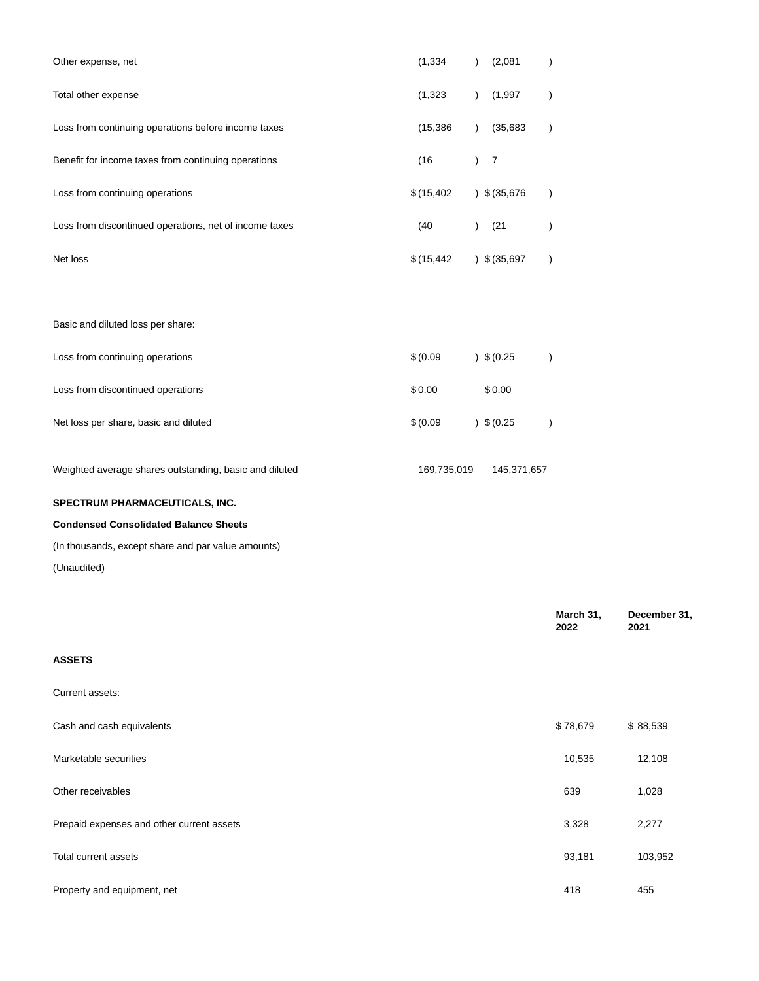| Other expense, net                                     | (1, 334)    | $\lambda$     | (2,081)         | $\lambda$         |                      |
|--------------------------------------------------------|-------------|---------------|-----------------|-------------------|----------------------|
| Total other expense                                    | (1, 323)    | $\lambda$     | (1,997)         | $\mathcal{E}$     |                      |
| Loss from continuing operations before income taxes    | (15, 386)   | $\lambda$     | (35, 683)       | $\mathcal{E}$     |                      |
| Benefit for income taxes from continuing operations    | (16)        | $\lambda$     | $\overline{7}$  |                   |                      |
| Loss from continuing operations                        | \$(15, 402) |               | $)$ \$ (35,676  | $\mathcal{E}$     |                      |
| Loss from discontinued operations, net of income taxes | (40)        | $\mathcal{E}$ | (21)            |                   |                      |
| Net loss                                               | \$(15, 442) |               | $)$ \$ (35,697) | $\mathcal{E}$     |                      |
| Basic and diluted loss per share:                      |             |               |                 |                   |                      |
| Loss from continuing operations                        | \$(0.09)    |               | $)$ \$ (0.25    | $\lambda$         |                      |
| Loss from discontinued operations                      | \$0.00      |               | \$0.00          |                   |                      |
| Net loss per share, basic and diluted                  | \$(0.09)    | $\lambda$     | \$(0.25)        | $\lambda$         |                      |
| Weighted average shares outstanding, basic and diluted | 169,735,019 |               | 145,371,657     |                   |                      |
| SPECTRUM PHARMACEUTICALS, INC.                         |             |               |                 |                   |                      |
| <b>Condensed Consolidated Balance Sheets</b>           |             |               |                 |                   |                      |
| (In thousands, except share and par value amounts)     |             |               |                 |                   |                      |
| (Unaudited)                                            |             |               |                 |                   |                      |
|                                                        |             |               |                 | March 31,<br>2022 | December 31,<br>2021 |
| <b>ASSETS</b>                                          |             |               |                 |                   |                      |
| Current assets:                                        |             |               |                 |                   |                      |
| Cash and cash equivalents                              |             |               |                 | \$78,679          | \$88,539             |
| Marketable securities                                  |             |               |                 | 10,535            | 12,108               |
| Other receivables                                      |             |               |                 | 639               | 1,028                |
| Prepaid expenses and other current assets              |             |               |                 | 3,328             | 2,277                |
|                                                        |             |               |                 |                   |                      |

Property and equipment, net 455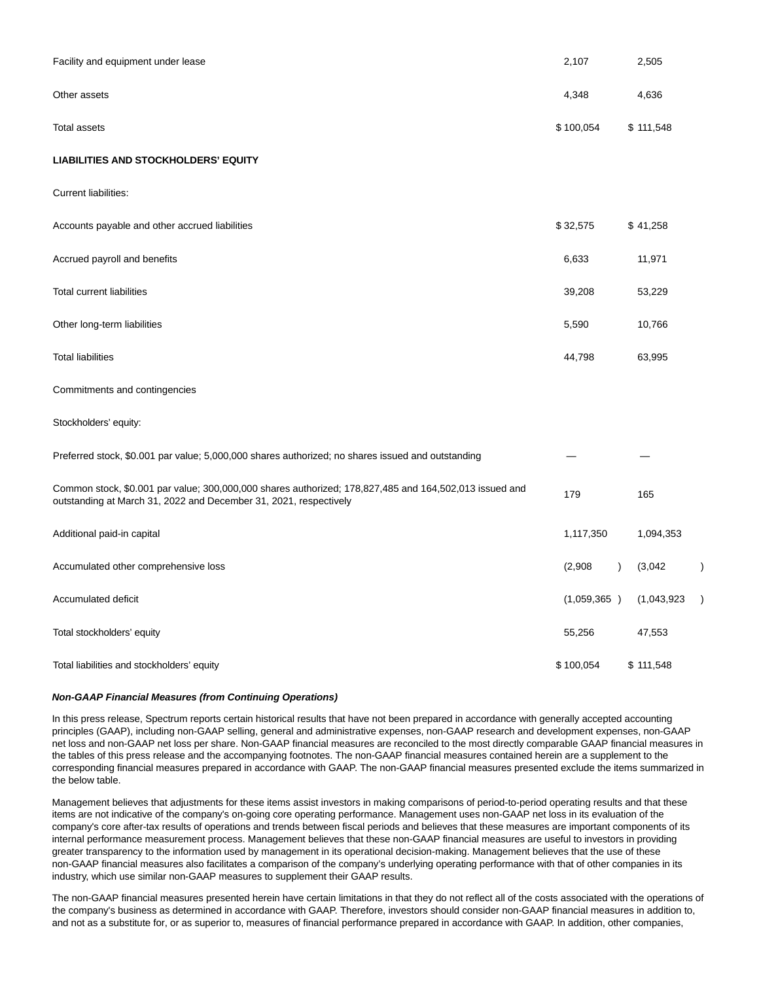| Facility and equipment under lease                                                                                                                                          | 2,107                | 2,505       |
|-----------------------------------------------------------------------------------------------------------------------------------------------------------------------------|----------------------|-------------|
| Other assets                                                                                                                                                                | 4,348                | 4,636       |
| <b>Total assets</b>                                                                                                                                                         | \$100,054            | \$111,548   |
| <b>LIABILITIES AND STOCKHOLDERS' EQUITY</b>                                                                                                                                 |                      |             |
| <b>Current liabilities:</b>                                                                                                                                                 |                      |             |
| Accounts payable and other accrued liabilities                                                                                                                              | \$32,575             | \$41,258    |
| Accrued payroll and benefits                                                                                                                                                | 6,633                | 11,971      |
| <b>Total current liabilities</b>                                                                                                                                            | 39,208               | 53,229      |
| Other long-term liabilities                                                                                                                                                 | 5,590                | 10,766      |
| <b>Total liabilities</b>                                                                                                                                                    | 44,798               | 63,995      |
| Commitments and contingencies                                                                                                                                               |                      |             |
| Stockholders' equity:                                                                                                                                                       |                      |             |
| Preferred stock, \$0.001 par value; 5,000,000 shares authorized; no shares issued and outstanding                                                                           |                      |             |
| Common stock, \$0.001 par value; 300,000,000 shares authorized; 178,827,485 and 164,502,013 issued and<br>outstanding at March 31, 2022 and December 31, 2021, respectively | 179                  | 165         |
| Additional paid-in capital                                                                                                                                                  | 1,117,350            | 1,094,353   |
| Accumulated other comprehensive loss                                                                                                                                        | (2,908)<br>$\lambda$ | (3,042)     |
| Accumulated deficit                                                                                                                                                         | (1,059,365)          | (1,043,923) |
| Total stockholders' equity                                                                                                                                                  | 55,256               | 47,553      |
| Total liabilities and stockholders' equity                                                                                                                                  | \$100,054            | \$111,548   |

# **Non-GAAP Financial Measures (from Continuing Operations)**

In this press release, Spectrum reports certain historical results that have not been prepared in accordance with generally accepted accounting principles (GAAP), including non-GAAP selling, general and administrative expenses, non-GAAP research and development expenses, non-GAAP net loss and non-GAAP net loss per share. Non-GAAP financial measures are reconciled to the most directly comparable GAAP financial measures in the tables of this press release and the accompanying footnotes. The non-GAAP financial measures contained herein are a supplement to the corresponding financial measures prepared in accordance with GAAP. The non-GAAP financial measures presented exclude the items summarized in the below table.

Management believes that adjustments for these items assist investors in making comparisons of period-to-period operating results and that these items are not indicative of the company's on-going core operating performance. Management uses non-GAAP net loss in its evaluation of the company's core after-tax results of operations and trends between fiscal periods and believes that these measures are important components of its internal performance measurement process. Management believes that these non-GAAP financial measures are useful to investors in providing greater transparency to the information used by management in its operational decision-making. Management believes that the use of these non-GAAP financial measures also facilitates a comparison of the company's underlying operating performance with that of other companies in its industry, which use similar non-GAAP measures to supplement their GAAP results.

The non-GAAP financial measures presented herein have certain limitations in that they do not reflect all of the costs associated with the operations of the company's business as determined in accordance with GAAP. Therefore, investors should consider non-GAAP financial measures in addition to, and not as a substitute for, or as superior to, measures of financial performance prepared in accordance with GAAP. In addition, other companies,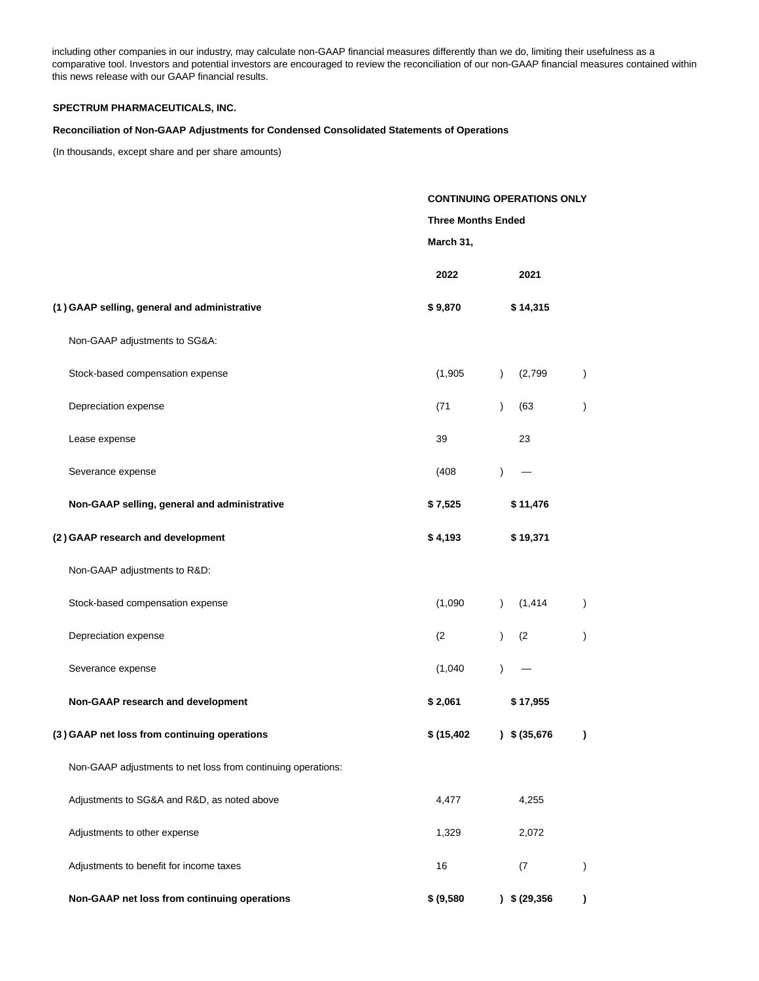including other companies in our industry, may calculate non-GAAP financial measures differently than we do, limiting their usefulness as a comparative tool. Investors and potential investors are encouraged to review the reconciliation of our non-GAAP financial measures contained within this news release with our GAAP financial results.

# **SPECTRUM PHARMACEUTICALS, INC.**

#### **Reconciliation of Non-GAAP Adjustments for Condensed Consolidated Statements of Operations**

(In thousands, except share and per share amounts)

|                                                              |            | <b>CONTINUING OPERATIONS ONLY</b><br><b>Three Months Ended</b> |  |  |  |
|--------------------------------------------------------------|------------|----------------------------------------------------------------|--|--|--|
|                                                              |            |                                                                |  |  |  |
|                                                              | March 31,  |                                                                |  |  |  |
|                                                              | 2022       | 2021                                                           |  |  |  |
| (1) GAAP selling, general and administrative                 | \$9,870    | \$14,315                                                       |  |  |  |
| Non-GAAP adjustments to SG&A:                                |            |                                                                |  |  |  |
| Stock-based compensation expense                             | (1,905)    | (2,799)<br>$\lambda$<br>$\mathcal{E}$                          |  |  |  |
| Depreciation expense                                         | (71)       | (63)<br>$\lambda$<br>$\lambda$                                 |  |  |  |
| Lease expense                                                | 39         | 23                                                             |  |  |  |
| Severance expense                                            | (408)      | $\lambda$                                                      |  |  |  |
| Non-GAAP selling, general and administrative                 | \$7,525    | \$11,476                                                       |  |  |  |
| (2) GAAP research and development                            | \$4,193    | \$19,371                                                       |  |  |  |
| Non-GAAP adjustments to R&D:                                 |            |                                                                |  |  |  |
| Stock-based compensation expense                             | (1,090)    | (1, 414)<br>$\lambda$<br>$\lambda$                             |  |  |  |
| Depreciation expense                                         | (2)        | (2)<br>$\lambda$<br>$\mathcal{E}$                              |  |  |  |
| Severance expense                                            | (1,040)    |                                                                |  |  |  |
| Non-GAAP research and development                            | \$2,061    | \$17,955                                                       |  |  |  |
| (3) GAAP net loss from continuing operations                 | \$(15,402) | $)$ \$ (35,676<br>)                                            |  |  |  |
| Non-GAAP adjustments to net loss from continuing operations: |            |                                                                |  |  |  |
| Adjustments to SG&A and R&D, as noted above                  | 4,477      | 4,255                                                          |  |  |  |
| Adjustments to other expense                                 | 1,329      | 2,072                                                          |  |  |  |
| Adjustments to benefit for income taxes                      | 16         | (7)                                                            |  |  |  |
| Non-GAAP net loss from continuing operations                 | \$ (9,580) | $9, 4$ (29,356)                                                |  |  |  |